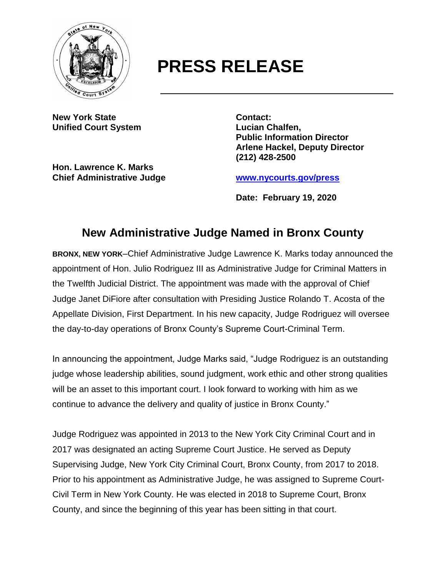

## **PRESS RELEASE**

**New York State Contact: Unified Court System Lucian Chalfen,**

**Hon. Lawrence K. Marks Chief Administrative Judge [www.nycourts.gov/press](http://www.nycourts.gov/press)**

**Public Information Director Arlene Hackel, Deputy Director (212) 428-2500**

**Date: February 19, 2020**

## **New Administrative Judge Named in Bronx County**

**BRONX, NEW YORK**–Chief Administrative Judge Lawrence K. Marks today announced the appointment of Hon. Julio Rodriguez III as Administrative Judge for Criminal Matters in the Twelfth Judicial District. The appointment was made with the approval of Chief Judge Janet DiFiore after consultation with Presiding Justice Rolando T. Acosta of the Appellate Division, First Department. In his new capacity, Judge Rodriguez will oversee the day-to-day operations of Bronx County's Supreme Court-Criminal Term.

In announcing the appointment, Judge Marks said, "Judge Rodriguez is an outstanding judge whose leadership abilities, sound judgment, work ethic and other strong qualities will be an asset to this important court. I look forward to working with him as we continue to advance the delivery and quality of justice in Bronx County."

Judge Rodriguez was appointed in 2013 to the New York City Criminal Court and in 2017 was designated an acting Supreme Court Justice. He served as Deputy Supervising Judge, New York City Criminal Court, Bronx County, from 2017 to 2018. Prior to his appointment as Administrative Judge, he was assigned to Supreme Court-Civil Term in New York County. He was elected in 2018 to Supreme Court, Bronx County, and since the beginning of this year has been sitting in that court.